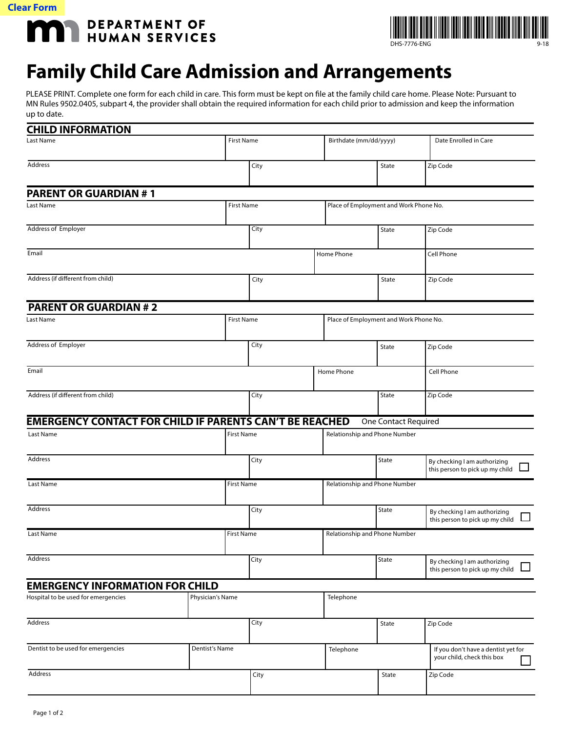

DEPARTMENT OF HUMAN SERVICES DEPARTMENT OF



## **Family Child Care Admission and Arrangements**

PLEASE PRINT. Complete one form for each child in care. This form must be kept on file at the family child care home. Please Note: Pursuant to MN Rules 9502.0405, subpart 4, the provider shall obtain the required information for each child prior to admission and keep the information up to date.

| <b>CHILD INFORMATION</b>                                       |                   |                               |                               |            |                                        |                                                                           |                                                                   |
|----------------------------------------------------------------|-------------------|-------------------------------|-------------------------------|------------|----------------------------------------|---------------------------------------------------------------------------|-------------------------------------------------------------------|
| <b>First Name</b><br>Last Name                                 |                   |                               |                               |            | Birthdate (mm/dd/yyyy)                 |                                                                           | Date Enrolled in Care                                             |
| Address                                                        |                   |                               | City                          |            | State                                  | Zip Code                                                                  |                                                                   |
| <b>PARENT OR GUARDIAN #1</b>                                   |                   |                               |                               |            |                                        |                                                                           |                                                                   |
| Last Name                                                      | <b>First Name</b> |                               |                               |            |                                        | Place of Employment and Work Phone No.                                    |                                                                   |
| <b>Address of Employer</b>                                     |                   |                               | City                          |            |                                        | State                                                                     | Zip Code                                                          |
| Email                                                          |                   |                               |                               | Home Phone |                                        |                                                                           | Cell Phone                                                        |
| Address (if different from child)                              |                   |                               | City                          |            | State                                  | Zip Code                                                                  |                                                                   |
| <b>PARENT OR GUARDIAN #2</b>                                   |                   |                               |                               |            |                                        |                                                                           |                                                                   |
| <b>First Name</b><br>Last Name                                 |                   |                               |                               |            | Place of Employment and Work Phone No. |                                                                           |                                                                   |
| <b>Address of Employer</b>                                     |                   |                               | City                          |            | State                                  | Zip Code                                                                  |                                                                   |
| Email                                                          |                   |                               |                               | Home Phone |                                        |                                                                           | <b>Cell Phone</b>                                                 |
| Address (if different from child)                              |                   |                               | City                          |            | State                                  | Zip Code                                                                  |                                                                   |
| <b>EMERGENCY CONTACT FOR CHILD IF PARENTS CAN'T BE REACHED</b> |                   |                               |                               |            |                                        | One Contact Required                                                      |                                                                   |
| <b>First Name</b><br>Last Name                                 |                   | Relationship and Phone Number |                               |            |                                        |                                                                           |                                                                   |
| Address                                                        |                   |                               | City                          |            | State                                  | By checking I am authorizing<br>this person to pick up my child           |                                                                   |
| Last Name                                                      |                   | <b>First Name</b>             | Relationship and Phone Number |            |                                        |                                                                           |                                                                   |
| Address                                                        |                   |                               | City                          |            | State                                  | By checking I am authorizing<br>$\Box$<br>this person to pick up my child |                                                                   |
| Last Name                                                      | <b>First Name</b> |                               |                               |            | Relationship and Phone Number          |                                                                           |                                                                   |
| Address                                                        |                   |                               | City                          |            | State                                  | By checking I am authorizing<br>this person to pick up my child<br>$\Box$ |                                                                   |
| <b>EMERGENCY INFORMATION FOR CHILD</b>                         |                   |                               |                               |            |                                        |                                                                           |                                                                   |
| Hospital to be used for emergencies                            | Physician's Name  |                               |                               |            | Telephone                              |                                                                           |                                                                   |
| Address                                                        |                   |                               | City                          |            |                                        | State                                                                     | Zip Code                                                          |
| Dentist to be used for emergencies                             | Dentist's Name    |                               |                               | Telephone  |                                        |                                                                           | If you don't have a dentist yet for<br>your child, check this box |
| Address                                                        |                   |                               | City                          |            |                                        | State                                                                     | Zip Code                                                          |